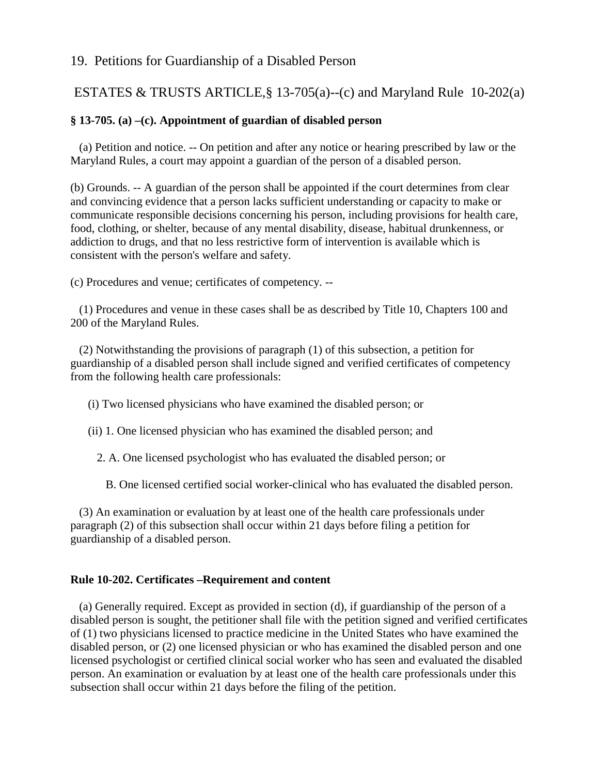# 19. Petitions for Guardianship of a Disabled Person

# ESTATES & TRUSTS ARTICLE,§ 13-705(a)--(c) and Maryland Rule 10-202(a)

### **§ 13-705. (a) –(c). Appointment of guardian of disabled person**

 (a) Petition and notice. -- On petition and after any notice or hearing prescribed by law or the Maryland Rules, a court may appoint a guardian of the person of a disabled person.

(b) Grounds. -- A guardian of the person shall be appointed if the court determines from clear and convincing evidence that a person lacks sufficient understanding or capacity to make or communicate responsible decisions concerning his person, including provisions for health care, food, clothing, or shelter, because of any mental disability, disease, habitual drunkenness, or addiction to drugs, and that no less restrictive form of intervention is available which is consistent with the person's welfare and safety.

(c) Procedures and venue; certificates of competency. --

 (1) Procedures and venue in these cases shall be as described by Title 10, Chapters 100 and 200 of the Maryland Rules.

 (2) Notwithstanding the provisions of paragraph (1) of this subsection, a petition for guardianship of a disabled person shall include signed and verified certificates of competency from the following health care professionals:

- (i) Two licensed physicians who have examined the disabled person; or
- (ii) 1. One licensed physician who has examined the disabled person; and

2. A. One licensed psychologist who has evaluated the disabled person; or

B. One licensed certified social worker-clinical who has evaluated the disabled person.

 (3) An examination or evaluation by at least one of the health care professionals under paragraph (2) of this subsection shall occur within 21 days before filing a petition for guardianship of a disabled person.

#### **Rule 10-202. Certificates –Requirement and content**

 (a) Generally required. Except as provided in section (d), if guardianship of the person of a disabled person is sought, the petitioner shall file with the petition signed and verified certificates of (1) two physicians licensed to practice medicine in the United States who have examined the disabled person, or (2) one licensed physician or who has examined the disabled person and one licensed psychologist or certified clinical social worker who has seen and evaluated the disabled person. An examination or evaluation by at least one of the health care professionals under this subsection shall occur within 21 days before the filing of the petition.